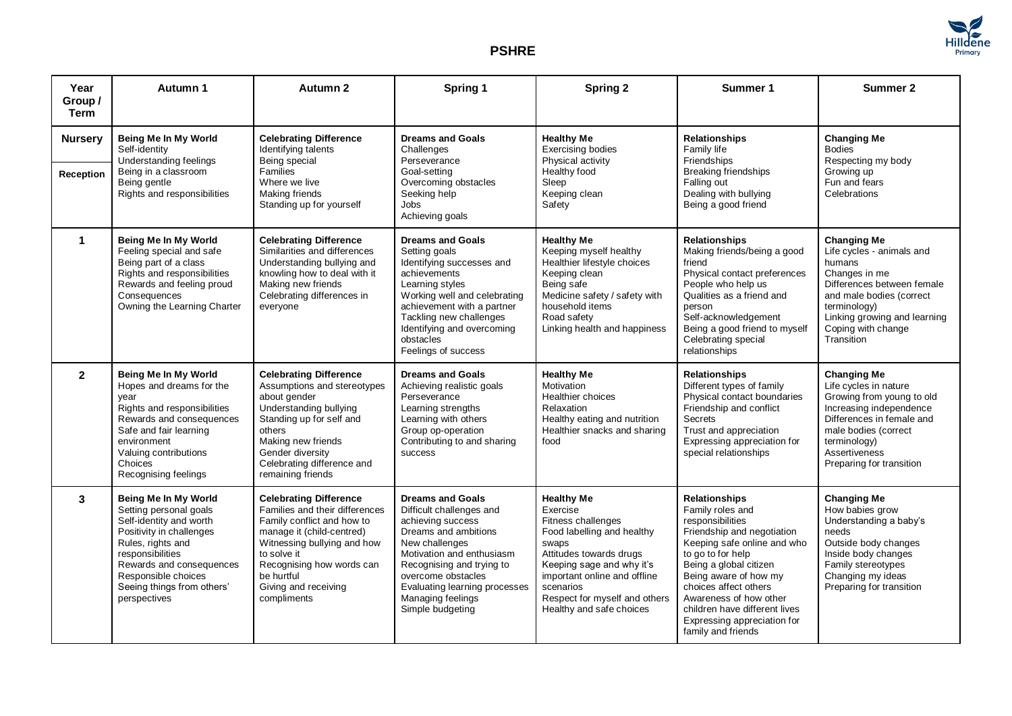

## **PSHRE**

| Year<br>Group /<br><b>Term</b> | Autumn 1                                                                                                                                                                                                                                        | Autumn 2                                                                                                                                                                                                                                                   | Spring 1                                                                                                                                                                                                                                                                     | <b>Spring 2</b>                                                                                                                                                                                                                                              | Summer 1                                                                                                                                                                                                                                                                                                                                   | Summer 2                                                                                                                                                                                                                 |
|--------------------------------|-------------------------------------------------------------------------------------------------------------------------------------------------------------------------------------------------------------------------------------------------|------------------------------------------------------------------------------------------------------------------------------------------------------------------------------------------------------------------------------------------------------------|------------------------------------------------------------------------------------------------------------------------------------------------------------------------------------------------------------------------------------------------------------------------------|--------------------------------------------------------------------------------------------------------------------------------------------------------------------------------------------------------------------------------------------------------------|--------------------------------------------------------------------------------------------------------------------------------------------------------------------------------------------------------------------------------------------------------------------------------------------------------------------------------------------|--------------------------------------------------------------------------------------------------------------------------------------------------------------------------------------------------------------------------|
| <b>Nursery</b>                 | Being Me In My World<br>Self-identity<br>Understanding feelings<br>Being in a classroom<br>Being gentle<br>Rights and responsibilities                                                                                                          | <b>Celebrating Difference</b><br>Identifying talents<br>Being special<br>Families<br>Where we live<br>Making friends<br>Standing up for yourself                                                                                                           | <b>Dreams and Goals</b><br>Challenges<br>Perseverance<br>Goal-setting<br>Overcoming obstacles<br>Seeking help<br>Jobs<br>Achieving goals                                                                                                                                     | <b>Healthy Me</b><br><b>Exercising bodies</b><br>Physical activity<br>Healthy food<br>Sleep<br>Keeping clean<br>Safety                                                                                                                                       | <b>Relationships</b><br>Family life<br>Friendships<br><b>Breaking friendships</b><br>Falling out<br>Dealing with bullying<br>Being a good friend                                                                                                                                                                                           | <b>Changing Me</b><br><b>Bodies</b><br>Respecting my body<br>Growing up<br>Fun and fears<br>Celebrations                                                                                                                 |
| <b>Reception</b>               |                                                                                                                                                                                                                                                 |                                                                                                                                                                                                                                                            |                                                                                                                                                                                                                                                                              |                                                                                                                                                                                                                                                              |                                                                                                                                                                                                                                                                                                                                            |                                                                                                                                                                                                                          |
| $\mathbf 1$                    | Being Me In My World<br>Feeling special and safe<br>Being part of a class<br>Rights and responsibilities<br>Rewards and feeling proud<br>Consequences<br>Owning the Learning Charter                                                            | <b>Celebrating Difference</b><br>Similarities and differences<br>Understanding bullying and<br>knowling how to deal with it<br>Making new friends<br>Celebrating differences in<br>everyone                                                                | <b>Dreams and Goals</b><br>Setting goals<br>Identifying successes and<br>achievements<br>Learning styles<br>Working well and celebrating<br>achievement with a partner<br>Tackling new challenges<br>Identifying and overcoming<br>obstacles<br>Feelings of success          | <b>Healthy Me</b><br>Keeping myself healthy<br>Healthier lifestyle choices<br>Keeping clean<br>Being safe<br>Medicine safety / safety with<br>household items<br>Road safety<br>Linking health and happiness                                                 | <b>Relationships</b><br>Making friends/being a good<br>friend<br>Physical contact preferences<br>People who help us<br>Qualities as a friend and<br>person<br>Self-acknowledgement<br>Being a good friend to myself<br>Celebrating special<br>relationships                                                                                | <b>Changing Me</b><br>Life cycles - animals and<br>humans<br>Changes in me<br>Differences between female<br>and male bodies (correct<br>terminology)<br>Linking growing and learning<br>Coping with change<br>Transition |
| $\mathbf{2}$                   | Being Me In My World<br>Hopes and dreams for the<br>vear<br>Rights and responsibilities<br>Rewards and consequences<br>Safe and fair learning<br>environment<br>Valuing contributions<br>Choices<br>Recognising feelings                        | <b>Celebrating Difference</b><br>Assumptions and stereotypes<br>about gender<br>Understanding bullying<br>Standing up for self and<br>others<br>Making new friends<br>Gender diversity<br>Celebrating difference and<br>remaining friends                  | <b>Dreams and Goals</b><br>Achieving realistic goals<br>Perseverance<br>Learning strengths<br>Learning with others<br>Group op-operation<br>Contributing to and sharing<br>success                                                                                           | <b>Healthy Me</b><br>Motivation<br>Healthier choices<br>Relaxation<br>Healthy eating and nutrition<br>Healthier snacks and sharing<br>food                                                                                                                   | <b>Relationships</b><br>Different types of family<br>Physical contact boundaries<br>Friendship and conflict<br>Secrets<br>Trust and appreciation<br>Expressing appreciation for<br>special relationships                                                                                                                                   | <b>Changing Me</b><br>Life cycles in nature<br>Growing from young to old<br>Increasing independence<br>Differences in female and<br>male bodies (correct<br>terminology)<br>Assertiveness<br>Preparing for transition    |
| 3                              | Being Me In My World<br>Setting personal goals<br>Self-identity and worth<br>Positivity in challenges<br>Rules, rights and<br>responsibilities<br>Rewards and consequences<br>Responsible choices<br>Seeing things from others'<br>perspectives | <b>Celebrating Difference</b><br>Families and their differences<br>Family conflict and how to<br>manage it (child-centred)<br>Witnessing bullying and how<br>to solve it<br>Recognising how words can<br>be hurtful<br>Giving and receiving<br>compliments | <b>Dreams and Goals</b><br>Difficult challenges and<br>achieving success<br>Dreams and ambitions<br>New challenges<br>Motivation and enthusiasm<br>Recognising and trying to<br>overcome obstacles<br>Evaluating learning processes<br>Managing feelings<br>Simple budgeting | <b>Healthy Me</b><br>Exercise<br>Fitness challenges<br>Food labelling and healthy<br>swaps<br>Attitudes towards drugs<br>Keeping sage and why it's<br>important online and offline<br>scenarios<br>Respect for myself and others<br>Healthy and safe choices | <b>Relationships</b><br>Family roles and<br>responsibilities<br>Friendship and negotiation<br>Keeping safe online and who<br>to go to for help<br>Being a global citizen<br>Being aware of how my<br>choices affect others<br>Awareness of how other<br>children have different lives<br>Expressing appreciation for<br>family and friends | <b>Changing Me</b><br>How babies grow<br>Understanding a baby's<br>needs<br>Outside body changes<br>Inside body changes<br>Family stereotypes<br>Changing my ideas<br>Preparing for transition                           |